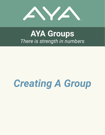

# **AYA Groups** *There is strength in numbers*

# *Creating A Group*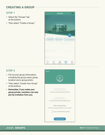# **CREATING A GROUP**

#### **STEP 1**

- Select the "Groups" tab at the bottom.
- Then select "Create a Group."



#### **STEP 2**

- $\bullet$  Fill out your group information, including the group name, group location and a group photo.
- Then select "Create Your Group" at the bottom.
- **Remember, if you make your group private, members can only join by invitation from you.**



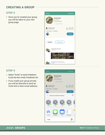# **CREATING A GROUP**

## **STEP 3**

• Once you've created your group, you will be taken to your new group page.



#### **STEP 4**

- Select "Invite" to send invitations to join by text, email, Facebook, etc.
- **If you made your group private,** you will be directed to send an invite link to their email address.